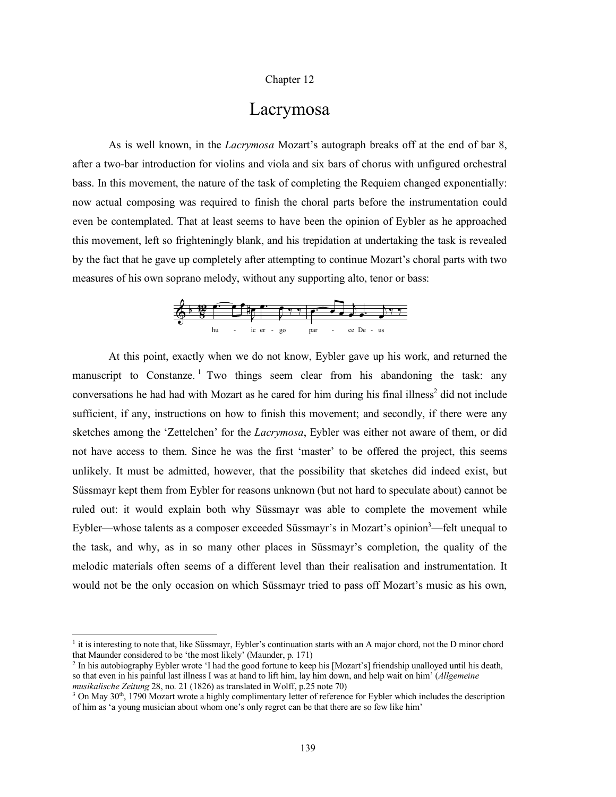#### Chapter 12

# Lacrymosa

As is well known, in the *Lacrymosa* Mozart's autograph breaks off at the end of bar 8, after a two-bar introduction for violins and viola and six bars of chorus with unfigured orchestral bass. In this movement, the nature of the task of completing the Requiem changed exponentially: now actual composing was required to finish the choral parts before the instrumentation could even be contemplated. That at least seems to have been the opinion of Eybler as he approached this movement, left so frighteningly blank, and his trepidation at undertaking the task is revealed by the fact that he gave up completely after attempting to continue Mozart's choral parts with two measures of his own soprano melody, without any supporting alto, tenor or bass:



At this point, exactly when we do not know, Eybler gave up his work, and returned the manuscript to Constanze.<sup>1</sup> Two things seem clear from his abandoning the task: any conversations he had had with Mozart as he cared for him during his final illness<sup>2</sup> did not include sufficient, if any, instructions on how to finish this movement; and secondly, if there were any sketches among the 'Zettelchen' for the *Lacrymosa*, Eybler was either not aware of them, or did not have access to them. Since he was the first 'master' to be offered the project, this seems unlikely. It must be admitted, however, that the possibility that sketches did indeed exist, but Süssmayr kept them from Eybler for reasons unknown (but not hard to speculate about) cannot be ruled out: it would explain both why Süssmayr was able to complete the movement while Eybler—whose talents as a composer exceeded Süssmayr's in Mozart's opinion<sup>3</sup>—felt unequal to the task, and why, as in so many other places in Süssmayr's completion, the quality of the melodic materials often seems of a different level than their realisation and instrumentation. It would not be the only occasion on which Süssmayr tried to pass off Mozart's music as his own,

 $<sup>1</sup>$  it is interesting to note that, like Süssmayr, Eybler's continuation starts with an A major chord, not the D minor chord</sup> that Maunder considered to be 'the most likely' (Maunder, p. 171)

<sup>2</sup> In his autobiography Eybler wrote 'I had the good fortune to keep his [Mozart's] friendship unalloyed until his death, so that even in his painful last illness I was at hand to lift him, lay him down, and help wait on him' (*Allgemeine musikalische Zeitung* 28, no. 21 (1826) as translated in Wolff, p.25 note 70)

 $3$  On May  $30<sup>th</sup>$ , 1790 Mozart wrote a highly complimentary letter of reference for Eybler which includes the description of him as 'a young musician about whom one's only regret can be that there are so few like him'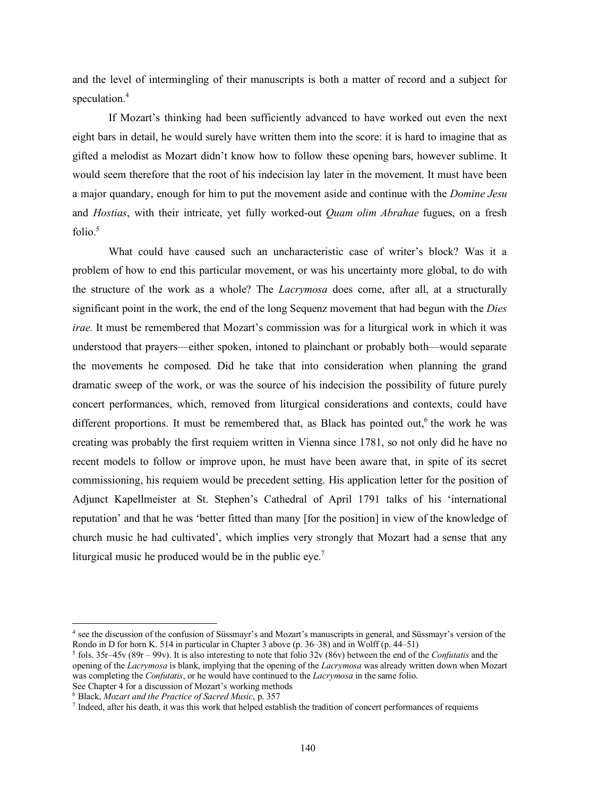and the level of intermingling of their manuscripts is both a matter of record and a subject for speculation. 4

If Mozart's thinking had been sufficiently advanced to have worked out even the next eight bars in detail, he would surely have written them into the score: it is hard to imagine that as gifted a melodist as Mozart didn't know how to follow these opening bars, however sublime. It would seem therefore that the root of his indecision lay later in the movement. It must have been a major quandary, enough for him to put the movement aside and continue with the *Domine Jesu* and *Hostias*, with their intricate, yet fully worked-out *Quam olim Abrahae* fugues, on a fresh  $f$ olio<sup>5</sup>

What could have caused such an uncharacteristic case of writer's block? Was it a problem of how to end this particular movement, or was his uncertainty more global, to do with the structure of the work as a whole? The *Lacrymosa* does come, after all, at a structurally significant point in the work, the end of the long Sequenz movement that had begun with the *Dies irae.* It must be remembered that Mozart's commission was for a liturgical work in which it was understood that prayers—either spoken, intoned to plainchant or probably both—would separate the movements he composed. Did he take that into consideration when planning the grand dramatic sweep of the work, or was the source of his indecision the possibility of future purely concert performances, which, removed from liturgical considerations and contexts, could have different proportions. It must be remembered that, as Black has pointed out,<sup>6</sup> the work he was creating was probably the first requiem written in Vienna since 1781, so not only did he have no recent models to follow or improve upon, he must have been aware that, in spite of its secret commissioning, his requiem would be precedent setting. His application letter for the position of Adjunct Kapellmeister at St. Stephen's Cathedral of April 1791 talks of his 'international reputation' and that he was 'better fitted than many [for the position] in view of the knowledge of church music he had cultivated', which implies very strongly that Mozart had a sense that any liturgical music he produced would be in the public eye.<sup>7</sup>

 <sup>4</sup> see the discussion of the confusion of Süssmayr's and Mozart's manuscripts in general, and Süssmayr's version of the Rondo in D for horn K. 514 in particular in Chapter 3 above (p. 36–38) and in Wolff (p. 44–51)

<sup>5</sup> fols. 35r–45v (89r – 99v). It is also interesting to note that folio 32v (86v) between the end of the *Confutatis* and the opening of the *Lacrymosa* is blank, implying that the opening of the *Lacrymosa* was already written down when Mozart was completing the *Confutatis*, or he would have continued to the *Lacrymosa* in the same folio. See Chapter 4 for a discussion of Mozart's working methods

<sup>6</sup> Black, *Mozart and the Practice of Sacred Music*, p. 357

 $<sup>7</sup>$  Indeed, after his death, it was this work that helped establish the tradition of concert performances of requiems</sup>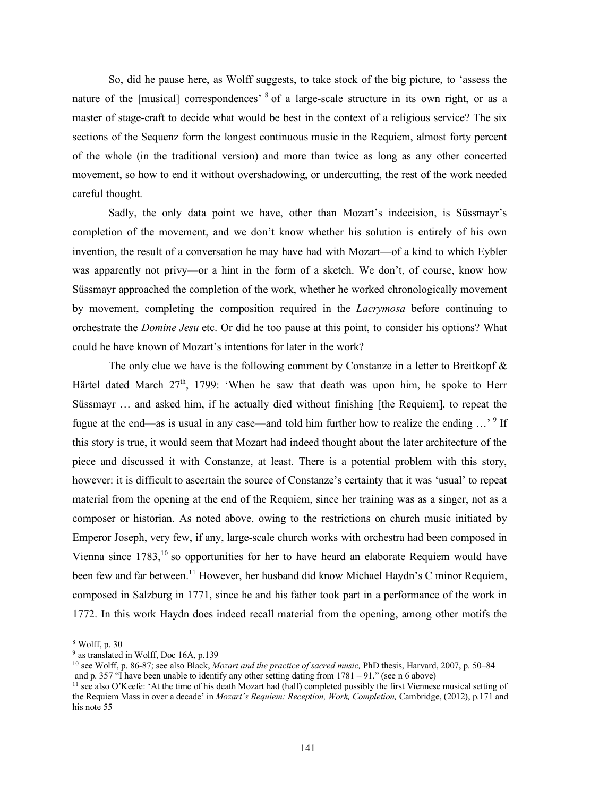So, did he pause here, as Wolff suggests, to take stock of the big picture, to 'assess the nature of the [musical] correspondences' <sup>8</sup> of a large-scale structure in its own right, or as a master of stage-craft to decide what would be best in the context of a religious service? The six sections of the Sequenz form the longest continuous music in the Requiem, almost forty percent of the whole (in the traditional version) and more than twice as long as any other concerted movement, so how to end it without overshadowing, or undercutting, the rest of the work needed careful thought.

Sadly, the only data point we have, other than Mozart's indecision, is Süssmayr's completion of the movement, and we don't know whether his solution is entirely of his own invention, the result of a conversation he may have had with Mozart—of a kind to which Eybler was apparently not privy—or a hint in the form of a sketch. We don't, of course, know how Süssmayr approached the completion of the work, whether he worked chronologically movement by movement, completing the composition required in the *Lacrymosa* before continuing to orchestrate the *Domine Jesu* etc. Or did he too pause at this point, to consider his options? What could he have known of Mozart's intentions for later in the work?

The only clue we have is the following comment by Constanze in a letter to Breitkopf  $\&$ Härtel dated March  $27<sup>th</sup>$ , 1799: 'When he saw that death was upon him, he spoke to Herr Süssmayr … and asked him, if he actually died without finishing [the Requiem], to repeat the fugue at the end—as is usual in any case—and told him further how to realize the ending ...'<sup>9</sup> If this story is true, it would seem that Mozart had indeed thought about the later architecture of the piece and discussed it with Constanze, at least. There is a potential problem with this story, however: it is difficult to ascertain the source of Constanze's certainty that it was 'usual' to repeat material from the opening at the end of the Requiem, since her training was as a singer, not as a composer or historian. As noted above, owing to the restrictions on church music initiated by Emperor Joseph, very few, if any, large-scale church works with orchestra had been composed in Vienna since 1783,<sup>10</sup> so opportunities for her to have heard an elaborate Requiem would have been few and far between.<sup>11</sup> However, her husband did know Michael Haydn's C minor Requiem, composed in Salzburg in 1771, since he and his father took part in a performance of the work in 1772. In this work Haydn does indeed recall material from the opening, among other motifs the

 <sup>8</sup> Wolff, p. <sup>30</sup>

<sup>9</sup> as translated in Wolff, Doc 16A, p.139

<sup>10</sup> see Wolff, p. 86-87; see also Black, *Mozart and the practice of sacred music,* PhD thesis, Harvard, 2007, p. 50–84 and p. 357 "I have been unable to identify any other setting dating from  $1781 - 91$ ." (see n 6 above)

<sup>&</sup>lt;sup>11</sup> see also O'Keefe: 'At the time of his death Mozart had (half) completed possibly the first Viennese musical setting of the Requiem Mass in over a decade' in *Mozart's Requiem: Reception, Work, Completion,* Cambridge, (2012), p.171 and his note 55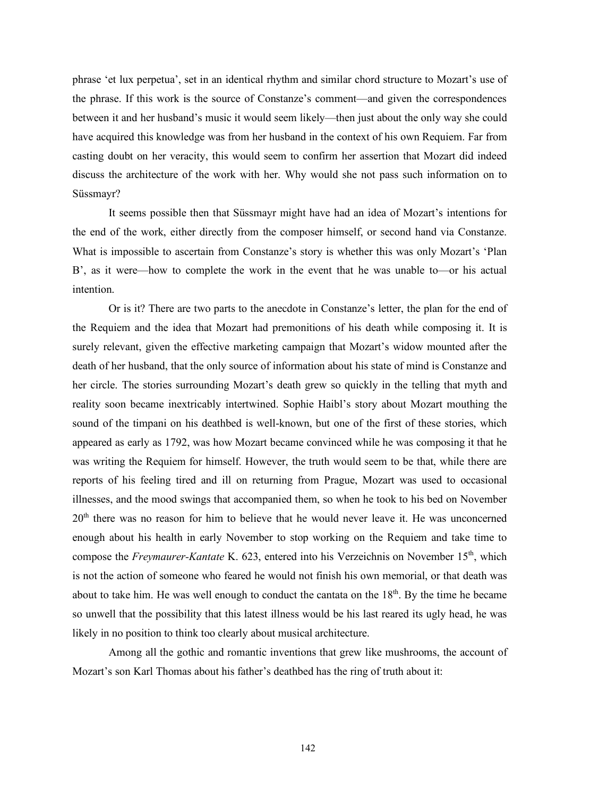phrase 'et lux perpetua', set in an identical rhythm and similar chord structure to Mozart's use of the phrase. If this work is the source of Constanze's comment—and given the correspondences between it and her husband's music it would seem likely—then just about the only way she could have acquired this knowledge was from her husband in the context of his own Requiem. Far from casting doubt on her veracity, this would seem to confirm her assertion that Mozart did indeed discuss the architecture of the work with her. Why would she not pass such information on to Süssmayr?

It seems possible then that Süssmayr might have had an idea of Mozart's intentions for the end of the work, either directly from the composer himself, or second hand via Constanze. What is impossible to ascertain from Constanze's story is whether this was only Mozart's 'Plan B', as it were—how to complete the work in the event that he was unable to—or his actual intention.

Or is it? There are two parts to the anecdote in Constanze's letter, the plan for the end of the Requiem and the idea that Mozart had premonitions of his death while composing it. It is surely relevant, given the effective marketing campaign that Mozart's widow mounted after the death of her husband, that the only source of information about his state of mind is Constanze and her circle. The stories surrounding Mozart's death grew so quickly in the telling that myth and reality soon became inextricably intertwined. Sophie Haibl's story about Mozart mouthing the sound of the timpani on his deathbed is well-known, but one of the first of these stories, which appeared as early as 1792, was how Mozart became convinced while he was composing it that he was writing the Requiem for himself. However, the truth would seem to be that, while there are reports of his feeling tired and ill on returning from Prague, Mozart was used to occasional illnesses, and the mood swings that accompanied them, so when he took to his bed on November  $20<sup>th</sup>$  there was no reason for him to believe that he would never leave it. He was unconcerned enough about his health in early November to stop working on the Requiem and take time to compose the *Freymaurer-Kantate* K. 623, entered into his Verzeichnis on November 15<sup>th</sup>, which is not the action of someone who feared he would not finish his own memorial, or that death was about to take him. He was well enough to conduct the cantata on the  $18<sup>th</sup>$ . By the time he became so unwell that the possibility that this latest illness would be his last reared its ugly head, he was likely in no position to think too clearly about musical architecture.

Among all the gothic and romantic inventions that grew like mushrooms, the account of Mozart's son Karl Thomas about his father's deathbed has the ring of truth about it: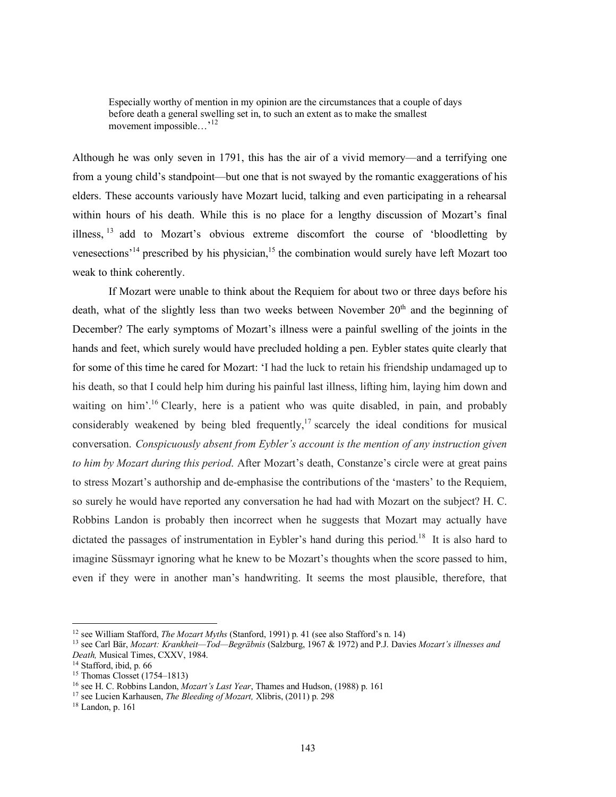Especially worthy of mention in my opinion are the circumstances that a couple of days before death a general swelling set in, to such an extent as to make the smallest movement impossible...'<sup>12</sup>

Although he was only seven in 1791, this has the air of a vivid memory—and a terrifying one from a young child's standpoint—but one that is not swayed by the romantic exaggerations of his elders. These accounts variously have Mozart lucid, talking and even participating in a rehearsal within hours of his death. While this is no place for a lengthy discussion of Mozart's final illness, <sup>13</sup> add to Mozart's obvious extreme discomfort the course of 'bloodletting by venesections<sup>'14</sup> prescribed by his physician,<sup>15</sup> the combination would surely have left Mozart too weak to think coherently.

If Mozart were unable to think about the Requiem for about two or three days before his death, what of the slightly less than two weeks between November  $20<sup>th</sup>$  and the beginning of December? The early symptoms of Mozart's illness were a painful swelling of the joints in the hands and feet, which surely would have precluded holding a pen. Eybler states quite clearly that for some of this time he cared for Mozart: 'I had the luck to retain his friendship undamaged up to his death, so that I could help him during his painful last illness, lifting him, laying him down and waiting on him'.<sup>16</sup> Clearly, here is a patient who was quite disabled, in pain, and probably considerably weakened by being bled frequently,<sup>17</sup> scarcely the ideal conditions for musical conversation. *Conspicuously absent from Eybler's account is the mention of any instruction given to him by Mozart during this period*. After Mozart's death, Constanze's circle were at great pains to stress Mozart's authorship and de-emphasise the contributions of the 'masters' to the Requiem, so surely he would have reported any conversation he had had with Mozart on the subject? H. C. Robbins Landon is probably then incorrect when he suggests that Mozart may actually have dictated the passages of instrumentation in Eybler's hand during this period.<sup>18</sup> It is also hard to imagine Süssmayr ignoring what he knew to be Mozart's thoughts when the score passed to him, even if they were in another man's handwriting. It seems the most plausible, therefore, that

 $18$  Landon, p. 161

 <sup>12</sup> see William Stafford, *The Mozart Myths* (Stanford, 1991) p. <sup>41</sup> (see also Stafford's n. 14)

<sup>13</sup> see Carl Bär, *Mozart: Krankheit—Tod—Begräbnis* (Salzburg, 1967 & 1972) and P.J. Davies *Mozart's illnesses and Death,* Musical Times, CXXV, 1984.

<sup>&</sup>lt;sup>14</sup> Stafford, ibid, p. 66

<sup>15</sup> Thomas Closset (1754–1813)

<sup>16</sup> see H. C. Robbins Landon, *Mozart's Last Year*, Thames and Hudson, (1988) p. 161

<sup>17</sup> see Lucien Karhausen, *The Bleeding of Mozart,* Xlibris, (2011) p. 298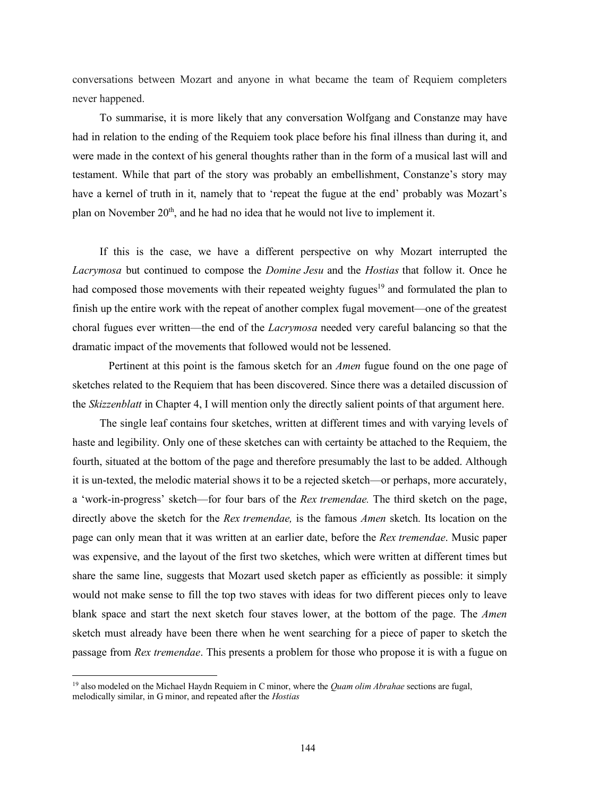conversations between Mozart and anyone in what became the team of Requiem completers never happened.

To summarise, it is more likely that any conversation Wolfgang and Constanze may have had in relation to the ending of the Requiem took place before his final illness than during it, and were made in the context of his general thoughts rather than in the form of a musical last will and testament. While that part of the story was probably an embellishment, Constanze's story may have a kernel of truth in it, namely that to 'repeat the fugue at the end' probably was Mozart's plan on November  $20<sup>th</sup>$ , and he had no idea that he would not live to implement it.

If this is the case, we have a different perspective on why Mozart interrupted the *Lacrymosa* but continued to compose the *Domine Jesu* and the *Hostias* that follow it. Once he had composed those movements with their repeated weighty fugues<sup>19</sup> and formulated the plan to finish up the entire work with the repeat of another complex fugal movement—one of the greatest choral fugues ever written—the end of the *Lacrymosa* needed very careful balancing so that the dramatic impact of the movements that followed would not be lessened.

Pertinent at this point is the famous sketch for an *Amen* fugue found on the one page of sketches related to the Requiem that has been discovered. Since there was a detailed discussion of the *Skizzenblatt* in Chapter 4, I will mention only the directly salient points of that argument here.

The single leaf contains four sketches, written at different times and with varying levels of haste and legibility. Only one of these sketches can with certainty be attached to the Requiem, the fourth, situated at the bottom of the page and therefore presumably the last to be added. Although it is un-texted, the melodic material shows it to be a rejected sketch—or perhaps, more accurately, a 'work-in-progress' sketch—for four bars of the *Rex tremendae.* The third sketch on the page, directly above the sketch for the *Rex tremendae,* is the famous *Amen* sketch. Its location on the page can only mean that it was written at an earlier date, before the *Rex tremendae*. Music paper was expensive, and the layout of the first two sketches, which were written at different times but share the same line, suggests that Mozart used sketch paper as efficiently as possible: it simply would not make sense to fill the top two staves with ideas for two different pieces only to leave blank space and start the next sketch four staves lower, at the bottom of the page. The *Amen* sketch must already have been there when he went searching for a piece of paper to sketch the passage from *Rex tremendae*. This presents a problem for those who propose it is with a fugue on

 <sup>19</sup> also modeled on the Michael Haydn Requiem in <sup>C</sup> minor, where the *Quam olim Abrahae* sections are fugal, melodically similar, in G minor, and repeated after the *Hostias*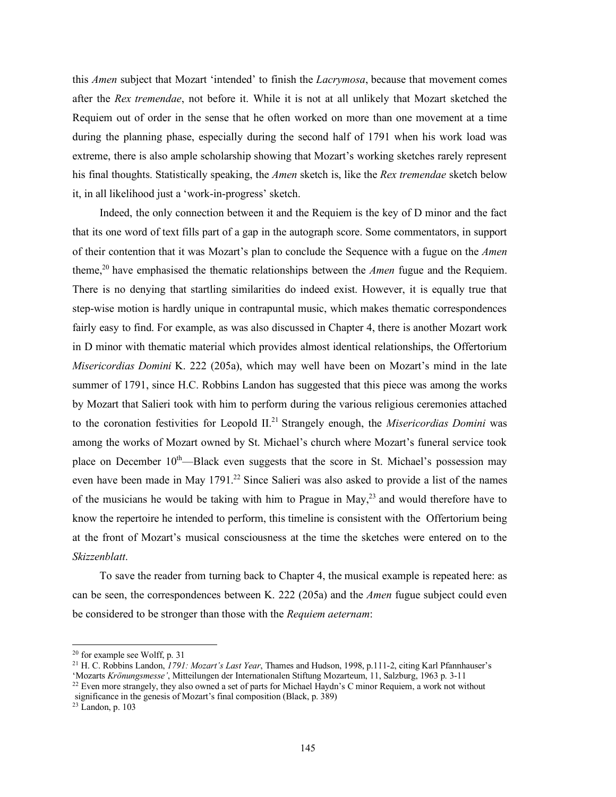this *Amen* subject that Mozart 'intended' to finish the *Lacrymosa*, because that movement comes after the *Rex tremendae*, not before it. While it is not at all unlikely that Mozart sketched the Requiem out of order in the sense that he often worked on more than one movement at a time during the planning phase, especially during the second half of 1791 when his work load was extreme, there is also ample scholarship showing that Mozart's working sketches rarely represent his final thoughts. Statistically speaking, the *Amen* sketch is, like the *Rex tremendae* sketch below it, in all likelihood just a 'work-in-progress' sketch.

Indeed, the only connection between it and the Requiem is the key of D minor and the fact that its one word of text fills part of a gap in the autograph score. Some commentators, in support of their contention that it was Mozart's plan to conclude the Sequence with a fugue on the *Amen* theme,20 have emphasised the thematic relationships between the *Amen* fugue and the Requiem. There is no denying that startling similarities do indeed exist. However, it is equally true that step-wise motion is hardly unique in contrapuntal music, which makes thematic correspondences fairly easy to find. For example, as was also discussed in Chapter 4, there is another Mozart work in D minor with thematic material which provides almost identical relationships, the Offertorium *Misericordias Domini* K. 222 (205a), which may well have been on Mozart's mind in the late summer of 1791, since H.C. Robbins Landon has suggested that this piece was among the works by Mozart that Salieri took with him to perform during the various religious ceremonies attached to the coronation festivities for Leopold II. <sup>21</sup> Strangely enough, the *Misericordias Domini* was among the works of Mozart owned by St. Michael's church where Mozart's funeral service took place on December  $10<sup>th</sup>$ —Black even suggests that the score in St. Michael's possession may even have been made in May 1791.<sup>22</sup> Since Salieri was also asked to provide a list of the names of the musicians he would be taking with him to Prague in May, $^{23}$  and would therefore have to know the repertoire he intended to perform, this timeline is consistent with the Offertorium being at the front of Mozart's musical consciousness at the time the sketches were entered on to the *Skizzenblatt*.

To save the reader from turning back to Chapter 4, the musical example is repeated here: as can be seen, the correspondences between K. 222 (205a) and the *Amen* fugue subject could even be considered to be stronger than those with the *Requiem aeternam*:

 <sup>20</sup> for example see Wolff, p. <sup>31</sup>

<sup>21</sup> H. C. Robbins Landon, *1791: Mozart's Last Year*, Thames and Hudson, 1998, p.111-2, citing Karl Pfannhauser's

<sup>&#</sup>x27;Mozarts *Krönungsmesse'*, Mitteilungen der Internationalen Stiftung Mozarteum, 11, Salzburg, 1963 p. 3-11 <sup>22</sup> Even more strangely, they also owned a set of parts for Michael Haydn's C minor Requiem, a work not without

significance in the genesis of Mozart's final composition (Black, p. 389)

 $23$  Landon, p. 103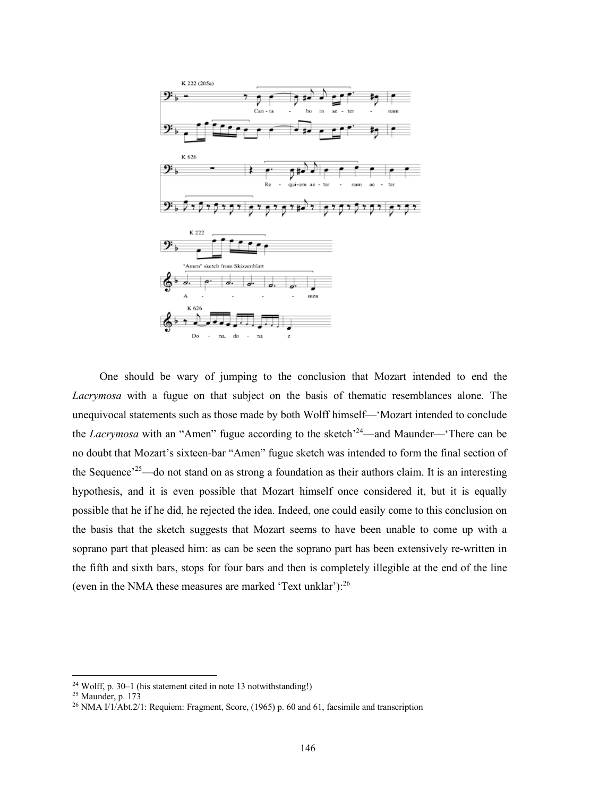

One should be wary of jumping to the conclusion that Mozart intended to end the *Lacrymosa* with a fugue on that subject on the basis of thematic resemblances alone. The unequivocal statements such as those made by both Wolff himself—'Mozart intended to conclude the *Lacrymosa* with an "Amen" fugue according to the sketch<sup>-24</sup>—and Maunder—There can be no doubt that Mozart's sixteen-bar "Amen" fugue sketch was intended to form the final section of the Sequence<sup>25</sup>—do not stand on as strong a foundation as their authors claim. It is an interesting hypothesis, and it is even possible that Mozart himself once considered it, but it is equally possible that he if he did, he rejected the idea. Indeed, one could easily come to this conclusion on the basis that the sketch suggests that Mozart seems to have been unable to come up with a soprano part that pleased him: as can be seen the soprano part has been extensively re-written in the fifth and sixth bars, stops for four bars and then is completely illegible at the end of the line (even in the NMA these measures are marked 'Text unklar'):<sup>26</sup>

 <sup>24</sup> Wolff, p. 30–1 (his statement cited in note <sup>13</sup> notwithstanding!)

<sup>25</sup> Maunder, p. 173

<sup>&</sup>lt;sup>26</sup> NMA  $I/1/\text{Abt}.2/1$ : Requiem: Fragment, Score, (1965) p. 60 and 61, facsimile and transcription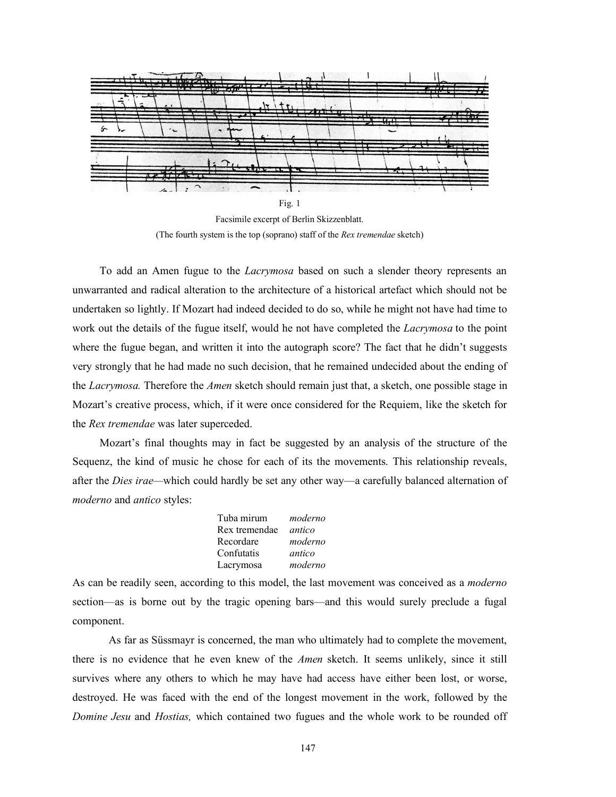

Facsimile excerpt of Berlin Skizzenblatt. (The fourth system is the top (soprano) staff of the *Rex tremendae* sketch)

To add an Amen fugue to the *Lacrymosa* based on such a slender theory represents an unwarranted and radical alteration to the architecture of a historical artefact which should not be undertaken so lightly. If Mozart had indeed decided to do so, while he might not have had time to work out the details of the fugue itself, would he not have completed the *Lacrymosa* to the point where the fugue began, and written it into the autograph score? The fact that he didn't suggests very strongly that he had made no such decision, that he remained undecided about the ending of the *Lacrymosa.* Therefore the *Amen* sketch should remain just that, a sketch, one possible stage in Mozart's creative process, which, if it were once considered for the Requiem, like the sketch for the *Rex tremendae* was later superceded.

Mozart's final thoughts may in fact be suggested by an analysis of the structure of the Sequenz, the kind of music he chose for each of its the movements. This relationship reveals, after the *Dies irae—*which could hardly be set any other way—a carefully balanced alternation of *moderno* and *antico* styles:

| Tuba mirum    | moderno |
|---------------|---------|
| Rex tremendae | antico  |
| Recordare     | moderno |
| Confutatis    | antico  |
| Lacrymosa     | moderno |

As can be readily seen, according to this model, the last movement was conceived as a *moderno* section—as is borne out by the tragic opening bars—and this would surely preclude a fugal component.

As far as Süssmayr is concerned, the man who ultimately had to complete the movement, there is no evidence that he even knew of the *Amen* sketch. It seems unlikely, since it still survives where any others to which he may have had access have either been lost, or worse, destroyed. He was faced with the end of the longest movement in the work, followed by the *Domine Jesu* and *Hostias,* which contained two fugues and the whole work to be rounded off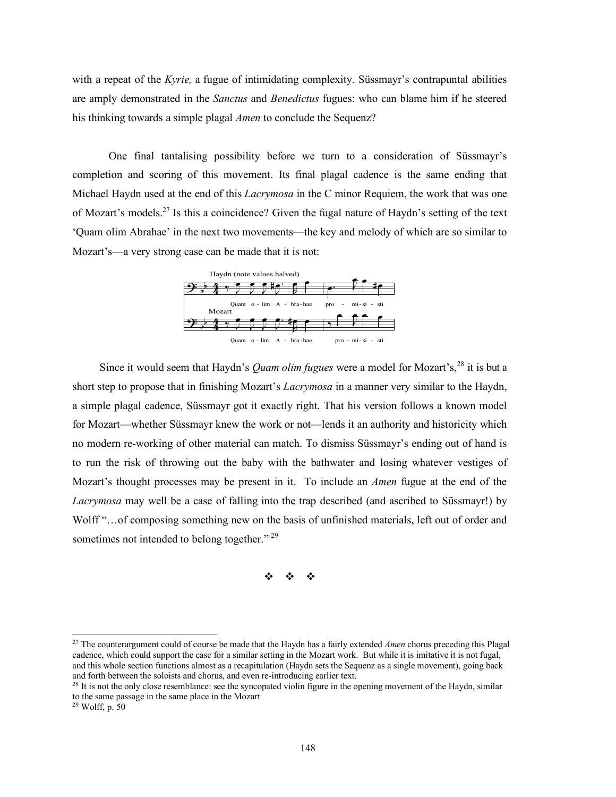with a repeat of the *Kyrie,* a fugue of intimidating complexity. Süssmayr's contrapuntal abilities are amply demonstrated in the *Sanctus* and *Benedictus* fugues: who can blame him if he steered his thinking towards a simple plagal *Amen* to conclude the Sequenz?

One final tantalising possibility before we turn to a consideration of Süssmayr's completion and scoring of this movement. Its final plagal cadence is the same ending that Michael Haydn used at the end of this *Lacrymosa* in the C minor Requiem, the work that was one of Mozart's models.27 Is this a coincidence? Given the fugal nature of Haydn's setting of the text 'Quam olim Abrahae' in the next two movements—the key and melody of which are so similar to Mozart's—a very strong case can be made that it is not:



Since it would seem that Haydn's *Quam olim fugues* were a model for Mozart's, <sup>28</sup> it is but a short step to propose that in finishing Mozart's *Lacrymosa* in a manner very similar to the Haydn, a simple plagal cadence, Süssmayr got it exactly right. That his version follows a known model for Mozart—whether Süssmayr knew the work or not—lends it an authority and historicity which no modern re-working of other material can match. To dismiss Süssmayr's ending out of hand is to run the risk of throwing out the baby with the bathwater and losing whatever vestiges of Mozart's thought processes may be present in it. To include an *Amen* fugue at the end of the *Lacrymosa* may well be a case of falling into the trap described (and ascribed to Süssmayr!) by Wolff "…of composing something new on the basis of unfinished materials, left out of order and sometimes not intended to belong together."<sup>29</sup>

v v v

 <sup>27</sup> The counterargument could of course be made that the Haydn has <sup>a</sup> fairly extended *Amen* chorus preceding this Plagal cadence, which could support the case for a similar setting in the Mozart work. But while it is imitative it is not fugal, and this whole section functions almost as a recapitulation (Haydn sets the Sequenz as a single movement), going back and forth between the soloists and chorus, and even re-introducing earlier text.

<sup>&</sup>lt;sup>28</sup> It is not the only close resemblance: see the syncopated violin figure in the opening movement of the Haydn, similar to the same passage in the same place in the Mozart

 $29$  Wolff, p. 50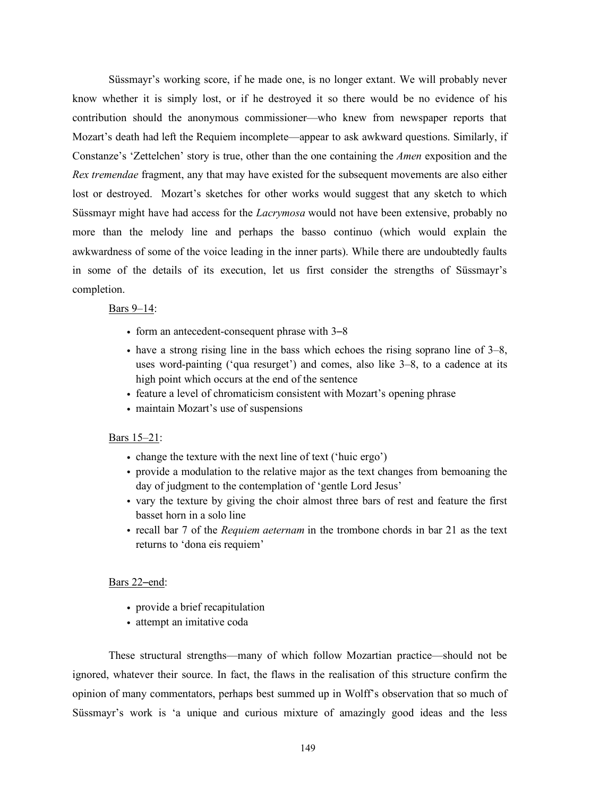Süssmayr's working score, if he made one, is no longer extant. We will probably never know whether it is simply lost, or if he destroyed it so there would be no evidence of his contribution should the anonymous commissioner—who knew from newspaper reports that Mozart's death had left the Requiem incomplete—appear to ask awkward questions. Similarly, if Constanze's 'Zettelchen' story is true, other than the one containing the *Amen* exposition and the *Rex tremendae* fragment, any that may have existed for the subsequent movements are also either lost or destroyed. Mozart's sketches for other works would suggest that any sketch to which Süssmayr might have had access for the *Lacrymosa* would not have been extensive, probably no more than the melody line and perhaps the basso continuo (which would explain the awkwardness of some of the voice leading in the inner parts). While there are undoubtedly faults in some of the details of its execution, let us first consider the strengths of Süssmayr's completion.

### Bars 9–14:

- form an antecedent-consequent phrase with  $3-8$
- have a strong rising line in the bass which echoes the rising soprano line of 3–8, uses word-painting ('qua resurget') and comes, also like 3–8, to a cadence at its high point which occurs at the end of the sentence
- feature a level of chromaticism consistent with Mozart's opening phrase
- maintain Mozart's use of suspensions

#### Bars 15–21:

- change the texture with the next line of text ('huic ergo')
- provide a modulation to the relative major as the text changes from bemoaning the day of judgment to the contemplation of 'gentle Lord Jesus'
- vary the texture by giving the choir almost three bars of rest and feature the first basset horn in a solo line
- recall bar 7 of the *Requiem aeternam* in the trombone chords in bar 21 as the text returns to 'dona eis requiem'

## Bars 22-end:

- provide a brief recapitulation
- attempt an imitative coda

These structural strengths—many of which follow Mozartian practice—should not be ignored, whatever their source. In fact, the flaws in the realisation of this structure confirm the opinion of many commentators, perhaps best summed up in Wolff's observation that so much of Süssmayr's work is 'a unique and curious mixture of amazingly good ideas and the less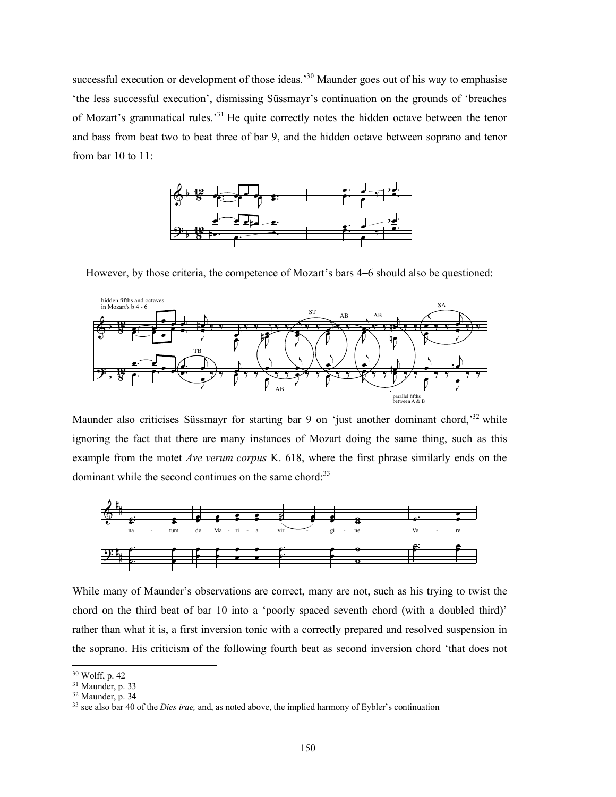successful execution or development of those ideas.<sup>30</sup> Maunder goes out of his way to emphasise 'the less successful execution', dismissing Süssmayr's continuation on the grounds of 'breaches of Mozart's grammatical rules.<sup>31</sup> He quite correctly notes the hidden octave between the tenor and bass from beat two to beat three of bar 9, and the hidden octave between soprano and tenor from bar 10 to 11:



However, by those criteria, the competence of Mozart's bars 4–6 should also be questioned:



Maunder also criticises Süssmayr for starting bar 9 on 'just another dominant chord,<sup>32</sup> while ignoring the fact that there are many instances of Mozart doing the same thing, such as this example from the motet *Ave verum corpus* K. 618, where the first phrase similarly ends on the dominant while the second continues on the same chord:<sup>33</sup>



While many of Maunder's observations are correct, many are not, such as his trying to twist the chord on the third beat of bar 10 into a 'poorly spaced seventh chord (with a doubled third)' rather than what it is, a first inversion tonic with a correctly prepared and resolved suspension in the soprano. His criticism of the following fourth beat as second inversion chord 'that does not

 <sup>30</sup> Wolff, p. <sup>42</sup>

<sup>&</sup>lt;sup>31</sup> Maunder, p. 33

 $32$  Maunder, p. 34

<sup>33</sup> see also bar 40 of the *Dies irae,* and, as noted above, the implied harmony of Eybler's continuation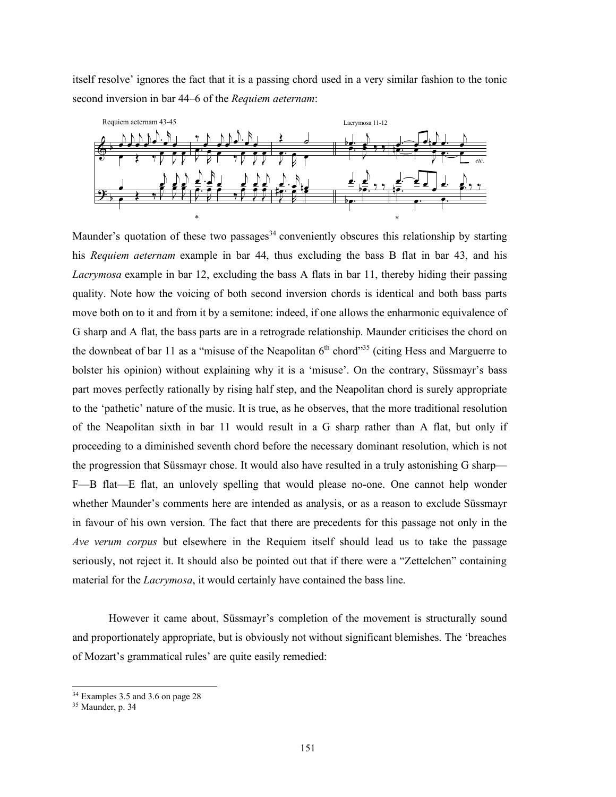itself resolve' ignores the fact that it is a passing chord used in a very similar fashion to the tonic second inversion in bar 44–6 of the *Requiem aeternam*:



Maunder's quotation of these two passages<sup>34</sup> conveniently obscures this relationship by starting his *Requiem aeternam* example in bar 44, thus excluding the bass B flat in bar 43, and his *Lacrymosa* example in bar 12, excluding the bass A flats in bar 11, thereby hiding their passing quality. Note how the voicing of both second inversion chords is identical and both bass parts move both on to it and from it by a semitone: indeed, if one allows the enharmonic equivalence of G sharp and A flat, the bass parts are in a retrograde relationship. Maunder criticises the chord on the downbeat of bar 11 as a "misuse of the Neapolitan  $6<sup>th</sup>$  chord"<sup>35</sup> (citing Hess and Marguerre to bolster his opinion) without explaining why it is a 'misuse'. On the contrary, Süssmayr's bass part moves perfectly rationally by rising half step, and the Neapolitan chord is surely appropriate to the 'pathetic' nature of the music. It is true, as he observes, that the more traditional resolution of the Neapolitan sixth in bar 11 would result in a G sharp rather than A flat, but only if proceeding to a diminished seventh chord before the necessary dominant resolution, which is not the progression that Süssmayr chose. It would also have resulted in a truly astonishing G sharp— F—B flat—E flat, an unlovely spelling that would please no-one. One cannot help wonder whether Maunder's comments here are intended as analysis, or as a reason to exclude Süssmayr in favour of his own version. The fact that there are precedents for this passage not only in the *Ave verum corpus* but elsewhere in the Requiem itself should lead us to take the passage seriously, not reject it. It should also be pointed out that if there were a "Zettelchen" containing material for the *Lacrymosa*, it would certainly have contained the bass line.

However it came about, Süssmayr's completion of the movement is structurally sound and proportionately appropriate, but is obviously not without significant blemishes. The 'breaches of Mozart's grammatical rules' are quite easily remedied:

 <sup>34</sup> Examples 3.5 and 3.6 on page <sup>28</sup>

 $35$  Maunder, p. 34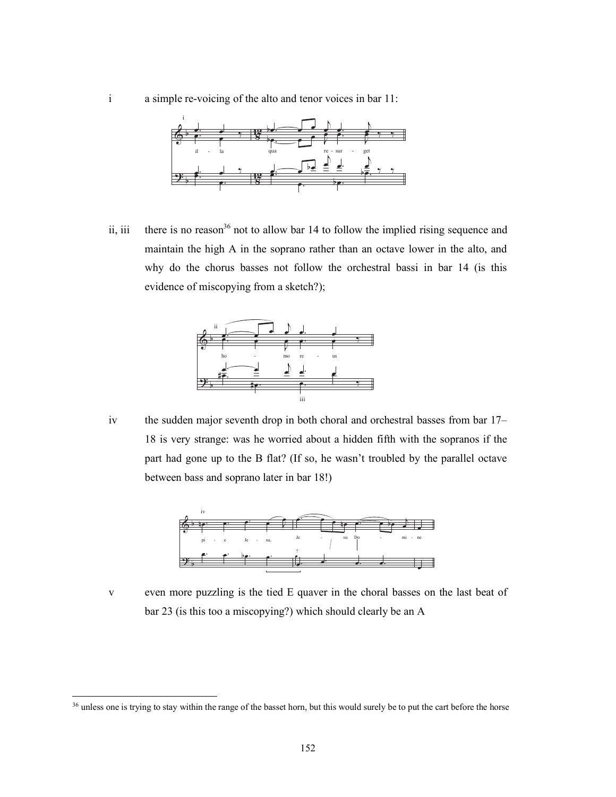i a simple re-voicing of the alto and tenor voices in bar 11:



ii, iii there is no reason<sup>36</sup> not to allow bar 14 to follow the implied rising sequence and maintain the high A in the soprano rather than an octave lower in the alto, and why do the chorus basses not follow the orchestral bassi in bar 14 (is this evidence of misconving from a sketch?). evidence of miscopying from a sketch?);



- 
- iv the sudden major seventh drop in both choral and orchestral basses from bar 17– 18 is very strange: was he worried about a hidden fifth with the sopranos if the part had gone up to the B flat? (If so, he wasn't troubled by the parallel octave between bass and soprano later in bar 18!) lden major seventh drop in re qui em r seventh drop in both choral and orchestral basses f Je su Do mi  $\sum_{i=1}^{n} a_i$ e<br>P ry strange: was he worried about a hidden fifth with the soprar  $\frac{1}{2}$  s and soprano later in bar 18!



v even more puzzling is the tied E quaver in the choral basses on the last beat of  $bar 23$  (is this too a miscopying?) which should clearly be an A  $\sim$   $\sim$   $\sim$   $\sim$   $\sim$   $\sim$ 

<sup>&</sup>lt;sup>36</sup> unless one is trying to stay within the range of the basset horn, but this would surely be to put the cart before the horse within the range of the basset horn, but this would surely by  $\mathbf{r}$   $\mathbf{r}$   $\mathbf{r}$   $\mathbf{r}$   $\mathbf{r}$   $\mathbf{r}$   $\mathbf{r}$   $\mathbf{r}$   $\mathbf{r}$   $\mathbf{r}$   $\mathbf{r}$   $\mathbf{r}$   $\mathbf{r}$   $\mathbf{r}$   $\mathbf{r}$   $\mathbf{r}$   $\mathbf{r}$   $\mathbf{r}$   $\mathbf{r}$   $\mathbf{r}$   $\mathbf{r}$   $\mathbf{r}$   $\mathbf{r}$   $\mathbf{r}$   $\mathbf{$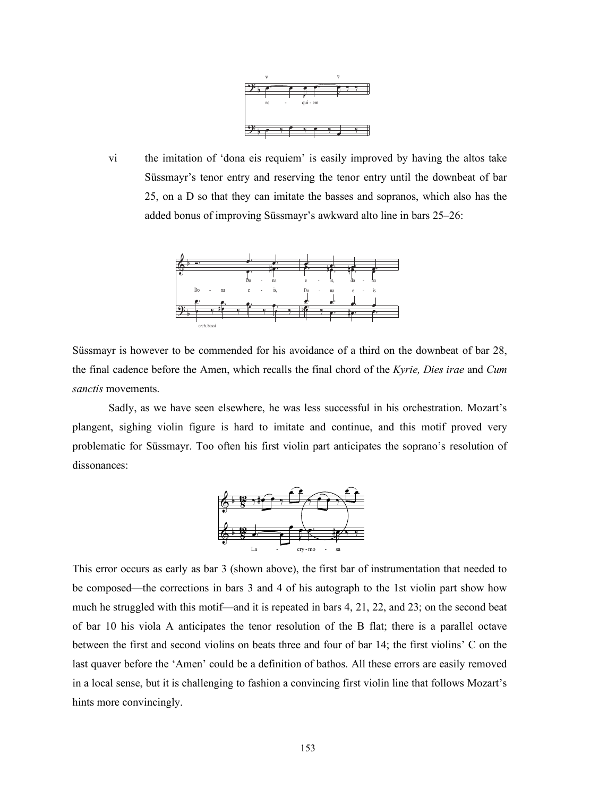

vi the imitation of 'dona eis requiem' is easily improved by having the altos take Süssmayr's tenor entry and reserving the tenor entry until the downbeat of bar 25, on a D so that they can imitate the basses and sopranos, which also has the exercise on a web was died to be called bonus of improving Süssmayr's awkward alto line in bars 25–26:



Süssmayr is however to be commended for his avoidance of a third on the downbeat of bar 28, the final cadence before the Amen, which recalls the final chord of the *Kyrie, Dies irae* and *Cum sanctis* movements.

Sadly, as we have seen elsewhere, he was less successful in his orchestration. Mozart's plangent, sighing violin figure is hard to imitate and continue, and this motif proved very problematic for Süssmayr. Too often his first violin part anticipates the soprano's resolution of dissonances:



This error occurs as early as bar 3 (shown above), the first bar of instrumentation that needed to be composed—the corrections in bars 3 and 4 of his autograph to the 1st violin part show how much he struggled with this motif—and it is repeated in bars 4, 21, 22, and 23; on the second beat of bar 10 his viola A anticipates the tenor resolution of the B flat; there is a parallel octave between the first and second violins on beats three and four of bar 14; the first violins' C on the last quaver before the 'Amen' could be a definition of bathos. All these errors are easily removed in a local sense, but it is challenging to fashion a convincing first violin line that follows Mozart's hints more convincingly.